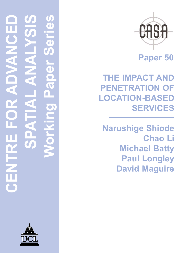

**Paper 50**

**THE IMPACT AND PENETRATION OF LOCATION-BASED SERVICES**

**Narushige Shiode Chao Li Michael Batty Paul Longley David Maguire**

**CENTRE FOR ADVANCED SPATIAL ANALYSIS Working Paper Series** ď 1 1  $\overline{\mathbf{C}}$ OZ.  $\prec$ 

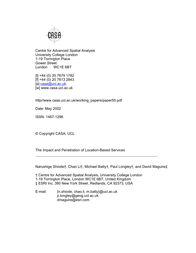

Centre for Advanced Spatial Analysis University College London 1-19 Torrington Place Gower Street London WC1E 6BT

[t] +44 (0) 20 7679 1782 [f] +44 (0) 20 7813 2843 [e] casa@ucl.ac.uk [w] www.casa.ucl.ac.uk

http//www.casa.ucl.ac.uk/working\_papers/paper50.pdf

Date: May 2002

ISSN: 1467-1298

© Copyright CASA, UCL

The Impact and Penetration of Location-Based Services

Narushige Shiode†, Chao Li†, Michael Batty†, Paul Longley†, and David Maguire‡

† Centre for Advanced Spatial Analysis, University College London 1-19 Torrington Place, London WC1E 6BT, United Kingdom ‡ ESRI Inc, 380 New York Street, Redlands, CA 92373, USA

E-mail: {n.shiode, chao.li, m.batty}@ucl.ac.uk p.longley@geog.ucl.ac.uk dmaguire@esri.com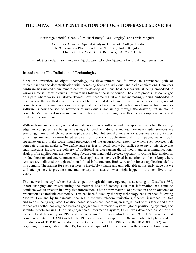# **THE IMPACT AND PENETRATION OF LOCATION-BASED SERVICES**

Narushige Shiode† , Chao Li† , Michael Batty† , Paul Longley† , and David Maguire‡

**†** Centre for Advanced Spatial Analysis, University College London 1-19 Torrington Place, London WC1E 6BT, United Kingdom ‡ ESRI Inc, 380 New York Street, Redlands, CA 92373, USA

E-mail:  $\{\text{n.shiode}, \text{chao.li}, \text{m.batty}\}\text{@ucl.ac.uk}, \text{plongley@geog.ucl.ac.uk}, \text{dmaguire@esri.com}$ 

## **Introduction: The Definition of Technologies**

Since the invention of digital technology, its development has followed an entrenched path of miniaturisation and decentralisation with increasing focus on individual and niche applications. Computer hardware has moved from remote centres to desktop and hand held devices whilst being embedded in various material infrastructures. Software has followed the same course. The entire process has converged on a path where various analogue devices have become digital and are increasingly being embedded in machines at the smallest scale. In a parallel but essential development, there has been a convergence of computers with communications ensuring that the delivery and interaction mechanisms for computer software is now focused on networks of individuals, not simply through the desktop, but in mobile contexts. Various inert media such as fixed television is becoming more flexible as computers and visual media are becoming one.

With such massive convergence and miniaturisation, new software and new applications define the cutting edge. As computers are being increasingly tailored to individual niches, then new digital services are emerging, many of which represent applications which hitherto did not exist or at best were rarely focused on a mass market. Location based services form one such application and in this paper, we will both speculate on and make some initial predictions of the geographical extent to which such services will penetrate different markets. We define such services in detail below but suffice it to say at this stage that such functions involve the delivery of traditional services using digital media and telecommunications. High profile applications are now being focused on hand held devices, typically involving information on product location and entertainment but wider applications involve fixed installations on the desktop where services are delivered through traditional fixed infrastructure. Both wire and wireless applications define this domain. The market for such services is inevitably volatile and unpredictable at this early stage but we will attempt here to provide some rudimentary estimates of what might happen in the next five to ten years.

The "network society" which has developed through this convergence, is, according to Castells (1989, 2000) changing and re-structuring the material basis of society such that information has come to dominate wealth creation in a way that information is both a raw material of production and an outcome of production as a tradable commodity. This has been fuelled by the way technology has expanded following Moore's Law and by fundamental changes in the way telecommunications, finance, insurance, utilities and so on is being regulated. Location based services are becoming an integral part of this fabric and these reflect yet another convergence between geographic information systems, global positioning systems, and satellite remote sensing. The first geographical information system, CGIS, was developed as part of the Canada Land Inventory in 1965 and the acronym 'GIS' was introduced in 1970. 1971 saw the first commercial satellite, LANDSAT-1. The 1970s also saw prototypes of ISDN and mobile telephone and the introduction of TCP/IP as the dominant network protocol. The 1980s saw the IBM XT (1982) and the beginning of de-regulation in the US, Europe and Japan of key sectors within the economy. Finally in the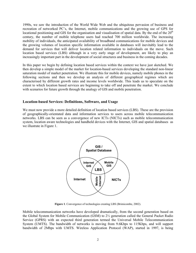1990s, we saw the introduction of the World Wide Web and the ubiquitous pervasion of business and recreation of networked PC's, the Internet, mobile communications and the growing use of GPS for locational positioning and GIS for the organisation and visualisation of spatial data. By the end of the  $20<sup>th</sup>$ century, the number of mobile telephone users had reached 700 million worldwide. The increasing mobility of individuals, the anticipated availability of broadband communications for mobile devices and the growing volumes of location specific information available in databases will inevitably lead to the demand for services that will deliver location related information to individuals on the move. Such location based services (LBS) although in a very early stage of development, are likely to play an increasingly important part in the development of social structures and business in the coming decades.

In this paper we begin by defining location based services within the context we have just sketched. We then develop a simple model of the market for location-based services developing the standard non-linear saturation model of market penetration. We illustrate this for mobile devices, namely mobile phones in the following sections and then we develop an analysis of different geographical regimes which are characterised by different growth rates and income levels worldwide. This leads us to speculate on the extent to which location based services are beginning to take off and penetrate the market. We conclude with scenarios for future growth through the analogy of GIS and mobile penetration.

### **Location-based Services: Definitions, Software, and Usage**

We must now provide a more detailed definition of location based services (LBS). These are the provision of geographically-orientated data and information services to users across mobile telecommunication networks. LBS can be seen as a convergence of new ICTs (NICTs) such as mobile telecommunication system, location aware technologies and handheld devices with the Internet, GIS and spatial databases as we illustrate in Figure 1.



**Figure 1**. Convergence of technologies creating LBS (Brimicombe, 2002).

Mobile telecommunication networks have developed dramatically, from the second generation based on the Global System for Mobile Communication (GSM) to 2½ generation called the General Packet Radio Service (GPRS) with an expected third generation termed the Universal Mobile Telecommunication System (UMTS). The bandwidth of networks is moving from 9.6Kbps to 115Kbps, and will support bandwidth of 2Mbps with UMTS. Wireless Application Protocol (WAP), started in 1997, is being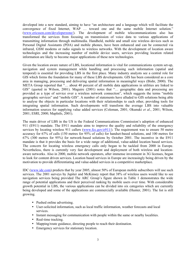developed into a new standard, aiming to have "an architecture and a language which will facilitate the convergence of fixed Internet, WAP … toward one and the same mobile Internet solution." (www.ericsson.com/developerzone/). The development of mobile telecommunications also has transformed the services from focusing on transmission of voice data to various applications of transmitting information through multimedia. Handheld, mobile and small size wireless devices such as Personal Digital Assistants (PDA) and mobile phones, have been enhanced and can be connected via infrared, GSM modems or radio signals to wireless networks. With the development of location aware technologies and the increasing number of mobile device users, services providing location related information are likely to become major applications of these new technologies.

Given the location aware nature of LBS, locational information is vital for communications system set-up, navigation and system management while handling and processing such information (spatial and temporal) is essential for providing LBS in the first place. Many industry analysts see a central role for GIS which forms the foundation for many of these LBS developments. GIS has been considered as a core area in managing, processing and delivering spatial information in meaningful ways (Bishr, 2000). The META Group reported that "… about 40 percent of all mobile data applications in utilities are linked to GIS" (quoted in Wilson, 2001). Maguire (2001) notes that "… geographic data and processing are provided as a type of service over a wireless network connection", which suggests the terms "mobile geographic services" and "mobile GIS". A number of statements have alluded to GIS solutions being able to analyse the objects in particular locations with their relationships to each other, providing tools for integrating spatial information. Such developments will transform the average LBS into valuable information sources for supplying value added services (Coleman, 2001; Okunuki *et al*., 2001; Wilson, 2001; ESRI, 2000; MapInfo, 2001).

The main driver of LBS in the US is the Federal Communications Commission's adoption of enhanced 911 (E911) mandate. The E911 mandate aims to improve the quality and reliability of the emergency services by locating wireless 911 callers (www.fcc.gov/e911/). The requirement was to ensure 50 metre accuracy for 67% of calls (150 metres for 95% of calls) for handset-based solutions, and 100 metres for 67% (300 metres for 95%) for network-based solutions by October 2001. The incentive in the E911 mandate is that it provides the basis for a wide range of additional, value-added location based services. The concern for locating wireless emergency calls only began to be tackled from 2000 in Europe. Nevertheless, there is currently very fast development and deployment of both wireless and locationaware networks. Also in 2000, mobile network operators, after immense investment in 3G licenses, began to look for content driven services. Location based services in Europe are increasingly being driven by the motivation to provide differentiating and value-added services in a competitive marketplace.

IDC (www.idc.com) predicts that by year 2005, almost 50% of European mobile subscribers will use such services. The 2001 surveys by Jupiter and McKinsey report that 38% of wireless users would like to see navigation services being provided The ARC Group's figure shown in Table 1 demonstrates the wide range of potential applications and their perceived ranking by mobile users over time. With considerable growth potential in LBS, the various applications can be divided into six categories which are currently being developed and some of the applications are commercially available (Hunter, 2001). The list is still growing.

- Pushed online advertising.
- User-solicited information, such as local traffic information, weather forecasts and local services.
- Instant messaging for communication with people within the same or nearby localities.
- Real-time tracking.
- Mapping/route guidance, directing people to reach their destination.
- Emergency services for stationary location.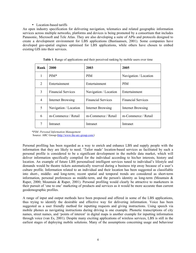#### • Location-based tariffs

An open industry specification for delivering navigation, telematics and related geographic information services across multiple networks, platforms and devices is being promoted by a consortium that includes Panasonic, Microsoft and Tele Atlas. They are also developing a suite of APIs and protocols designed to create a development environment for LBS applications (Bastiaansen, 2001). Some companies have developed geo-spatial engines optimised for LBS applications, while others have chosen to embed existing GIS into their services.

| Rank | 2000                      | 2003                      | 2005                      |  |  |
|------|---------------------------|---------------------------|---------------------------|--|--|
|      | $PIM*$                    | <b>PIM</b>                | Navigation / Location     |  |  |
| 2    | Entertainment             | Entertainment             | <b>PIM</b>                |  |  |
| 3    | <b>Financial Services</b> | Navigation / Location     | Entertainment             |  |  |
| 4    | <b>Internet Browsing</b>  | <b>Financial Services</b> | <b>Financial Services</b> |  |  |
| 5    | Navigation / Location     | <b>Internet Browsing</b>  | <b>Internet Browsing</b>  |  |  |
| 6    | m-Commerce / Retail       | m-Commerce / Retail       | m-Commerce / Retail       |  |  |
| 7    | Intranet                  | Intranet                  | Intranet                  |  |  |

|  |  |  | Table 1. Range of applications and their perceived ranking by mobile users over time |
|--|--|--|--------------------------------------------------------------------------------------|
|  |  |  |                                                                                      |

*\*PIM: Personal Information Management*  Source: ARC Group (http://www.the-arc-group.com/*)* 

Personal profiling has been regarded as a way to enrich and enhance LBS and supply people with the information that they are likely to need. 'Tailor made' location-based services as facilitated by such a personal profile is considered to be a significant development in the mobile data market, which will deliver information specifically compiled for the individual according to his/her interests, history and location. An example of future LBS personalised intelligent services tuned to individual's lifestyle and demands would be theatre tickets automatically reserved during a business trip away because of a user's culture profile. Information related to an individual and their location has been suggested as classifiable into short-, middle- and long-term; recent spatial and temporal trends are considered as short-term information, personal preferences as middle-term, and the person's identity as long-term (Mountain & Raper, 2000; Mountain & Raper, 2001). Personal profiling would clearly be attractive to marketeers in their pursuit of 'one to one' marketing of products and services as it would be more accurate than current geodemographic profiles.

A range of input and output methods have been proposed and offered in some of the LBS applications, thus trying to identify the desirable and effective way for delivering information. Voice has been suggested as a user friendly method for inputting requests and giving instructions. Using speech via mobile phones as navigating instructions during driving is one example. Phonetic transcriptions of city names, street names, and 'points of interest' in digital maps is another example for inputting information through voice (van Es, 2001). Despite many exciting applications of wireless services, LBS is still in the earliest stages of deploying mobile solutions. Many of the assumptions concerning usage and behaviour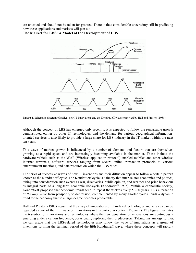are untested and should not be taken for granted. There is thus considerable uncertainty still in predicting how these applications and markets will pan out.



## **The Market for LBS: A Model of the Development of LBS**

**Figure 2**. Schematic diagram of radical new IT innovations and the Kondratieff waves observed by Hall and Preston (1988).

Although the concept of LBS has emerged only recently, it is expected to follow the remarkable growth demonstrated earlier by other IT technologies, and the demand for various geographical informationoriented services is also likely to provide a large share for LBS industry in the IT market within the next ten years.

This wave of market growth is influenced by a number of elements and factors that are themselves growing at a rapid speed and are increasingly becoming available in the market. These include the hardware vehicle such as the WAP (Wireless application protocol)-enabled mobiles and other wireless Internet terminals, software services ranging from secure online transaction protocols to various entertainment functions, and data resource on which the LBS relies.

The series of successive waves of new IT inventions and their diffusion appear to follow a certain pattern known as the Kondratieff cycle. The Kondratieff cycle is a theory that inter-relates economics and politics, taking into consideration such events as war, discoveries, public opinion, and weather and price behaviour as integral parts of a long-term economic life-cycle (Kondratieff 1935). Within a capitalistic society, Kondratieff proposed that economic trends tend to repeat themselves every 50-60 years. This alternation of *the long wave* from prosperity to depression, complemented by many shorter cycles, lends a dynamic trend to the economy that to a large degree becomes predictable.

Hall and Preston (1988) argue that the array of innovations of IT-related technologies and services can be regarded as part of the fifth wave of innovations in this particular context (Figure 2). The figure illustrates the transition of innovations and technologies where the new generation of innovations are continuously emerging under a certain frequency, occasionally replacing their predecessors. Taking this analogy further, we can argue that the LBS-related technologies also follow the wave of innovations as a group of inventions forming the terminal period of the fifth Kondratieff wave, where these concepts will rapidly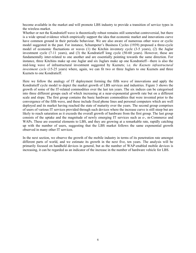become available in the market and will promote LBS industry to provide a transition of service types in the wireless market.

Whether or not the Kondratieff wave is theoretically robust remains still somewhat controversial, but there is a wide spread evidence which empirically support the idea that economic market and innovations curve have common ground in their periodic behaviour. We are also aware of numerous other wave or cyclic model suggested in the past. For instance, Schumpeter's Business Cycles (1939) proposed a three-cycle model of economic fluctuations or waves (1) the Kitchin inventory cycle (3-5 years), (2) the Juglar investment cycle (7-11 years), and (3) the Kondratieff long cycle (50-60 years). However, these are fundamentally inter-related to one another and are essentially pointing towards the same direction. For instance, three Kitchins make up one Juglar and six Juglars make up one Kondratieff—there is also the mid-long wave of infrastructural investment suggested by Kuznets; i.e. *the Kuznets infrastructural investment cycle* (15-25 years) where, again, we can fit two or three Juglars to one Kuznets and three Kuznets to one Kondratieff.

Here we follow the analogy of IT deployment forming the fifth wave of innovations and apply the Kondratieff cycle model to depict the market growth of LBS services and industries. Figure 3 shows the growth of some of the IT-related commodities over the last ten years. The six indices can be categorised into three different groups each of which increasing at a near-exponential growth rate but on a different scale and slope. The first group contains the basic hardware commodities that were invented prior to the convergence of the fifth wave, and these include fixed phone lines and personal computers which are well deployed and its market having reached the state of maturity over the years. The second group comprises of users of various IT services provided through such devices where the increase curve is still steep but are likely to reach saturation as it exceeds the overall growth of hardware from the first group. The last group consists of the uptake and the magnitude of newly emerging IT services such as e-, m-Commerce and WAPs. These are essential elements to LBS, and they are growing at a remarkable rate, rapidly catching up with the number of users, suggesting that the LBS market follows the same exponential growth observed in many other IT services.

In the next section, we observe the growth of the mobile industry in terms of its penetration rate amongst different parts of world, and we estimate its growth in the next five, ten years. The analysis will be primarily focused on handheld devices in general, but as the number of WAP-enabled mobile devices is increasing, it can be regarded as an indicator of the increase in the number of hardware vehicle for LBS.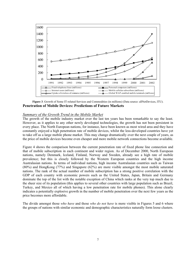

**Figure 3**. Growth of Some IT-related Services and Commodities (in millions) (Data source: allNetDevices, ITU). **Penetration of Mobile Devices: Predictions of Future Markets** 

#### *Summary of the Growth Trend in the Mobile Market*

The growth of the mobile industry market over the last ten years has been remarkable to say the least. However, as it applies to any other newly developed technologies, the growth has not been persistent in every place. The North European nations, for instance, have been known as most wired area and they have constantly enjoyed a high penetration rate of mobile devices, whilst the less-developed countries have yet to take off as a large mobile phone market. This may change dramatically over the next couple of years, as the price of mobile devices become even cheaper and more mobile network connections become available.

Figure 4 shows the comparison between the current penetration rate of fixed phone line connection and that of mobile subscription in each continent and wider region. As of December 2000, North European nations, namely Denmark, Iceland, Finland, Norway and Sweden, already see a high rate of mobile prevalence; but this is closely followed by the Western European countries and the high income Australasian nations. In terms of individual nations, high income Australasian countries such as Taiwan (80%) and HongKong (77%) and Singapore (62%) are more visible amongst the most mobile saturated nations. The rank of the actual number of mobile subscription has a strong positive correlation with the GDP of each country with economic powers such as the United States, Japan, Britain and Germany dominate the top of the list with the notable exception of China which ranks at the very top much due to the sheer size of its population (this applies to several other countries with large population such as Brazil, Turkey, and Mexico all of which having a low penetration rate for mobile phones). This alone clearly indicates a potentially explosive growth in the number of mobile penetration over the next few years as the price becomes more affordable.

The divide amongst those *who have* and those *who do not have* is more visible in Figures 5 and 6 where the groups of nations with similar economic and demographic characteristics naturally form loose clusters.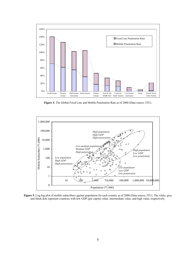

**Figure 4**. The Global Fixed Line and Mobile Penetration Rate as of 2000 (Data source: ITU).



**Figure 5**. Log-log plot of mobile subscribers against population for each country as of 2000 (Data source: ITU). The white, grey and black dots represent countries with low GDP (per capita) value, intermediate value, and high value, respectively.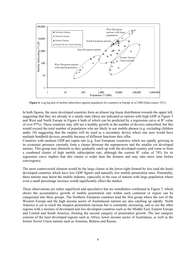

**Figure 6**. Log-log plot of mobile subscribers against population for countries in Europe as of 2000 (Data source: ITU).

In both figures, the more developed countries form an almost log-linear distribution towards the upper left, suggesting that they are already in a steady state (these are indicated as nations with high GDP in Figure 5 and West and North Europe in Figure 6 both of which can be predicted by a regression curve at  $R^2$  value of over 97%). These countries may still see a healthy growth in the number of devices subscribed, but this would exceed the total number of population who are likely to use mobile phones (e.g. excluding children under 10) suggesting that the surplus will be used as a secondary device where one user would have multiple handheld devices, possibly because of different functions they offer.

Countries with medium GDP per capita rate (e.g. East European countries) which are rapidly growing in its economic presence currently form a cluster between the superpowers and the smaller yet developed nations. This group may diminish as they gradually catch up with the developed country and come to form a combined cluster of high mobile subscription rate, although the current  $R^2$  value of 74% for its regression curve implies that this cluster is wider than the formers and may take more time before convergence.

The most controversial element would be the large cluster in the lower-right formed by less (and the least) developed countries which have low GDP figures and naturally low mobile penetration rates. Potentially, these nations may boost the mobile industry, especially in the case of nations with large population where even a small percentage increase would significantly affect the market.

These observations are rather superficial and speculative but are nonetheless confirmed in Figure 7, which shows the accumulative growth of mobile penetration rate within each continent or region can be categorised into three groups. The Northern European countries lead the first group where the rest of the Western Europe and the high income sector of Australasian nations are also catching up rapidly. North America is yet to reach the steepest penetration increase but is constantly increasing, and so are the other regions with a mixture of developed and less developed countries such as the Middle East, Eastern Europe and Central and South America, forming the second category of penetration growth. The last category consists of the least developed regions such as Africa, lower income sector of Australasia, as well as the former Soviet Union nations such as Armenia, Belarus and Russia.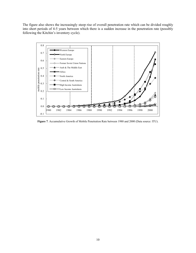The figure also shows the increasingly steep rise of overall penetration rate which can be divided roughly into short periods of 4-5 years between which there is a sudden increase in the penetration rate (possibly following the Kitchin's inventory cycle).



**Figure 7**. Accumulative Growth of Mobile Penetration Rate between 1980 and 2000 (Data source: ITU).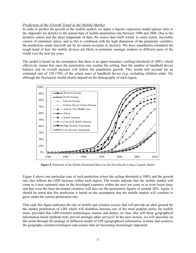## *Prediction of the Growth Trend in the Mobile Market*

In order to predict the growth of the mobile market, we apply a logistic regression model (please refer to the Appendix for details) to the annual data of mobile penetration rate between 1980 and 2000. Due to the dynamic nature and the sheer magnitude of data, the source data itself would, to some extent, inevitably consist of estimated values, and as this is combined with the high dimension of the parameter variables, the predictions made herewith are by no means accurate or decisive. We have nonetheless estimated the rough trend of how the mobile devices are likely to penetrate amongst markets in different parts of the world over the next ten years.

The model is based on the assumption that there is an upper boundary (ceiling) threshold of 100%, which effectively means that once the penetration rate reaches the ceiling, then the number of handheld device balance and its overall increase will follow the population growth. This would still account for an estimated rate of 120-170% of the actual users of handheld device (e.g. excluding children under 10), although the fluctuation would clearly depend on the demography of each region.



**Figure 8**. Prediction of the Mobile Penetration Rate over the Next Decade Using a Logistic Model.

Figure 8 shows one particular case of such prediction where the ceiling threshold is 100% and the growth rate also reflects the GDP increase within each region. The results indicate that the mobile market will come to a near saturated state in the developed countries within the next ten years or in even lesser time, and that even the least developed countries will also see the penetration figures of around 30%. Again, it should be noted that this prediction is based on the assumption that the mobile market will continue to grow under the current penetration rate.

That said, this figure indicates the rise of mobile and wireless society that will provide an ideal ground for the market penetration of LBS which will doubtless become one of the most popular utility for mobile users, provided that LBS-oriented technologies mature and deploy on time. But will these geographical information based methods truly prevail amongst other services? In the next section, we will speculate on this point through the analogy of diffusion model of GIS (geographical information systems and science), the geography-oriented techniques and science that are becoming increasingly important.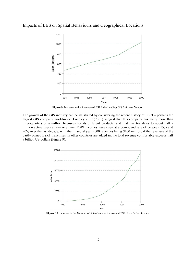

Impacts of LBS on Spatial Behaviours and Geographical Locations

**Figure 9**. Increase in the Revenue of ESRI, the Leading GIS Software Vendor.

The growth of the GIS industry can be illustrated by considering the recent history of ESRI – perhaps the largest GIS company world-wide. Longley *et al* (2001) suggest that this company has many more than three-quarters of a million licensees for its different products, and that this translates to about half a million active users at any one time. ESRI incomes have risen at a compound rate of between 15% and 20% over the last decade, with the financial year 2000 revenues being \$400 million; if the revenues of the partly owned ESRI 'franchises' in other countries are added in, the total revenue comfortably exceeds half a billion US dollars (Figure 9).



**Figure 10**. Increase in the Number of Attendance at the Annual ESRI User's Conference.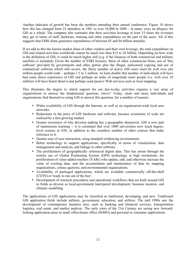Another indicator of growth has been the numbers attending their annual conference: Figure 10 shows how this has changed from 23 attendees in 1981 to over 10,000 in 2000 – in many ways an allegory for GIS as a whole. The company also estimates that their activities leverage at least 15 times the revenues they get in terms of staff, hardware, training and other expenditures on the part of the users. All of this suggests that ESRI alone generates expenditures of between \$5 and \$6 billion annually.

If we add to this the known market share of other vendors and their own leverage, the total expenditure on GIS and related activities worldwide cannot be much less than \$15 to 20 billion. Depending on how wide is the definition of GIS, it could be much higher still (e.g. if the finances of both commercial and military satellites is included). Given the number of ESRI licenses, those of other commercial firms, use of 'free software' provided by governments and other parties plus the illegal, unlicensed copying and use of commercial software which still occurs, the likely number of active GIS users must be well over one million people world-wide – perhaps 1.5 to 2 million. At least double that number of individuals will have had some direct experience of GIS and perhaps an order of magnitude more people (i.e. well over 10 million) will have heard about it and perhaps used passive Web services such as local mapping.

This illustrates the degree to which support for our day-to-day activities requires a vast array of organizations to answer the fundamental question, *where?* Today, more and more individuals and organizations find themselves using GIS to answer this question, for a number of reasons:

- Wider availability of GIS through the Internet, as well as on organization-wide local area networks.
- Reductions in the price of GIS hardware and software, because economies of scale are realized by a fast-growing market.
- Greater awareness of why decision making has a geographic dimension. GIS is now part of mainstream learning -- it is estimated that over 1000 universities now teach degreelevel courses in GIS, in addition to the countless number of other courses that make reference to it.
- Greater ease of user interaction, using standard windowing environments.
- Better technology to support applications, specifically in terms of visualization, data management and analysis, and linkage to other software.
- The proliferation of geographically referenced digital data. This has arisen through the routine use of Global Positioning System (GPS) technology at high resolutions, the proliferation of value-added resellers (VARs) who update, edit, and otherwise increase the value of existing data, and the accumulation and maintenance of data by mapping organizations, census agencies, and environmental organizations.
- Availability of packaged applications, which are available commercially off-the-shelf (COTS) or 'ready to run out of the box'.
- Development of research procedures and operational workflows that are built around GIS in fields as diverse as local-government land-parcel development, business location, and climatic modelling.

The applications of GIS applications may be classified as traditional, developing, and new. Traditional GIS application fields include military, government, education, and utilities. The mid 1990s saw the development of contemporary business uses, such as banking and financial services, transportation logistics, real estate, and market analysis. The early years of the 21st Century are seeing new forwardlooking application areas in small office/home office (SOHO) and personal or consumer applications.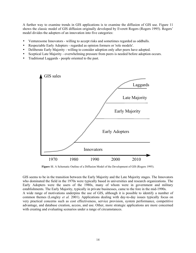A further way to examine trends in GIS applications is to examine the diffusion of GIS use. Figure 11 shows the classic model of GIS diffusion originally developed by Everett Rogers (Rogers 1995). Rogers' model divides the adopters of an innovation into five categories:

- Venturesome Innovators willing to accept risks and sometimes regarded as oddballs.
- Respectable Early Adopters regarded as opinion formers or 'role models'.
- Deliberate Early Majority willing to consider adoption only after peers have adopted.
- Sceptical Late Majority overwhelming pressure from peers is needed before adoption occurs.
- Traditional Laggards people oriented to the past.



**Figure 11**. A Schematic Outline of a Diffusion Model of the Development of GIS (Rogers 1995).

GIS seems to be in the transition between the Early Majority and the Late Majority stages. The Innovators who dominated the field in the 1970s were typically based in universities and research organizations. The Early Adopters were the users of the 1980s, many of whom were in government and military establishments. The Early Majority, typically in private businesses, came to the fore in the mid-1990s. A wide range of motivations underpins the use of GIS, although it is possible to identify a number of common themes (Longley *et al.* 2001). Applications dealing with day-to-day issues typically focus on very practical concerns such as cost effectiveness, service provision, system performance, competitive advantage, and database creation, access, and use. Other, more strategic applications are more concerned with creating and evaluating scenarios under a range of circumstances.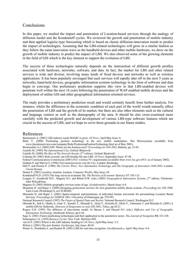## **Conclusions**

In this paper, we studied the impact and penetration of Location-based services through the analogy of diffusion model and the Kondratieff cycles. We reviewed the growth and penetration of mobile industry and then applied logistic-type forecasting which is based on classic diffusion-innovation trends to predict the impact of technologies. Assuming that the LBS-related technologies will grow in a similar fashion as they follow the same innovation wave as the handheld devices and other mobile hardware, we drew on the growth of mobile industry to predict the impact of LBS. We also observed some of the growing elements in the field of GIS which is the key element to support the evolution of LBS.

The success of these technologies naturally depends on the intersection of different growth profiles associated with hardware, networks, software, and data. In fact, the market for LBS and other related services is wide and diverse, involving many kinds of fixed devices and networks as well as wireless applications. It has been popularly envisaged that such services will rapidly take off in the next 5 years as networks, hand-held devices, geographic information systems technology in the form of software and data begin to converge. Our preliminary prediction supports this view in that LBS-enabled devices will penetrate well within the next 10 years following the penetration of WAP-enabled mobile devices and the deployment of online GIS and other geographical information-oriented services.

The study provides a preliminary prediction result and would certainly benefit from further analysis. For instance, whilst the difference in the economic condition of each part of the world would naturally affect the penetration of LBS and the growth of its market, but there are also other elements such as the cultural and language context as well as the demography of the area. It should be also cross-examined more carefully with the predicted growth and development of various LBS-type software features which are crucial to the success of LBS, and we hope to cover these grounds in our future studies.

#### References

Bastiaansen A. (2001) LBS industry needs MAGIC to grow. *GI News*, April/May Issue: 6.

- Bishr Y. (2000) Positioning position technology in the new mobile marketplace. Sun Microsystems (available from www.jlocationservices.com/company/Bishr/PositioningPositionTechnology.html as of May 2001).
- Brimicombe A.J. (2002) GIS: Where are the frontiers now? *Proceedings for GIS 2002*, Bahrain, pp. 33-45.

Castells M. (1989) *The Informational City*, Oxford: Blackwell.

- Castells M. (2000) *The Rise of The Network Society (2nd edition)*, Oxford: Blackwell.
- Coleman M. (2001) Role reversal: can GIS breathe life into LBS. *GI News*, September Issue: 47-48.
- Federal Communications Commission (2001) FCC wireless 911 requirements (available from www.fcc.gov/e911/ as of January 2002).
- Graham S. and Marvin S. (1996) *Telecommunications and the City*, London: Routledge.
- Hall P. and Preston P. (1988) *The Carrier Wave: New Information Technology and The Geography of Innovation 1846-2003*, London: Unwin Hyman.

Hunter P. (2001) Location, location, location. *Computer Weekly*, May Issue: 64.

- Kondratieff N.D. (1935) The long waves in economic life. *The Reviews of Economic Statistics* **17**: 105-115.
- Longley P., Goodhcild M.F., Maguire D.J. and Rhind D.W. (eds.) (2001) *Geographical Information Systems*, 2<sup>nd</sup> edition, Chichester: John Wiley&Sons.
- Maguire D. (2001) Mobile geographic services come of age. *GeoInformatics*, March Issue: 6-9.
- Mountain D. and Raper J. (2000) Designing geolocation services for next generation mobile phone systems. *Proceedings for GIS 2000*, Earls Court (Workshop2.4, on CD-ROM).
- Mountain D. and Raper J. (2001) Spatio-temporal representations of individual human movement for personalising Location Based Services. *Proceedings for GISRUK 2001*, University of Glamorgan, pp. 579-582.

National Research Council (1997) *The Future of Spatial Data and Society*. National Research Council, Washington D.C.

- Okunuki K., Itoh S., Okabe A., Goto Y., Kaneko T., Shinoaki S., Akita Y., Kotsubo H., Okita Y., Tatematsu T. and Shiozaki G. (2001) A mobile GIS for fieldwork, *Abstracts of Symposium on Asia GIS 2001*, Tokyo, pp.20-21
- Rogers E.H. (1993) The diffusion of innovations model. In Masser I. and Onsurd H.J. (eds.) *Diffusion and Use of Geographic Information Technology*, Dordrecht: Kluwer, pp.9-24.

Sage A. (2001) Future positioning technologies and their application to the automotive sector. *The Journal of Navigation* **54**: 321-328. Schumpeter J.A. (1939) *Business Cycles*, New York: McGraw-Hill.

- van Es P. (2001) Where is the LBS industry heading to? *GI News*, April/May Issue: 3-5.
- Wilson J. (2001) The next frontier. *GeoEurope*, July Issue: 40-45.

Winter S., Pontikakis E. and Raubal M. (2001) LBS for real-time navigation. *GeoInformatics*, April/ May Issue: 6-8.